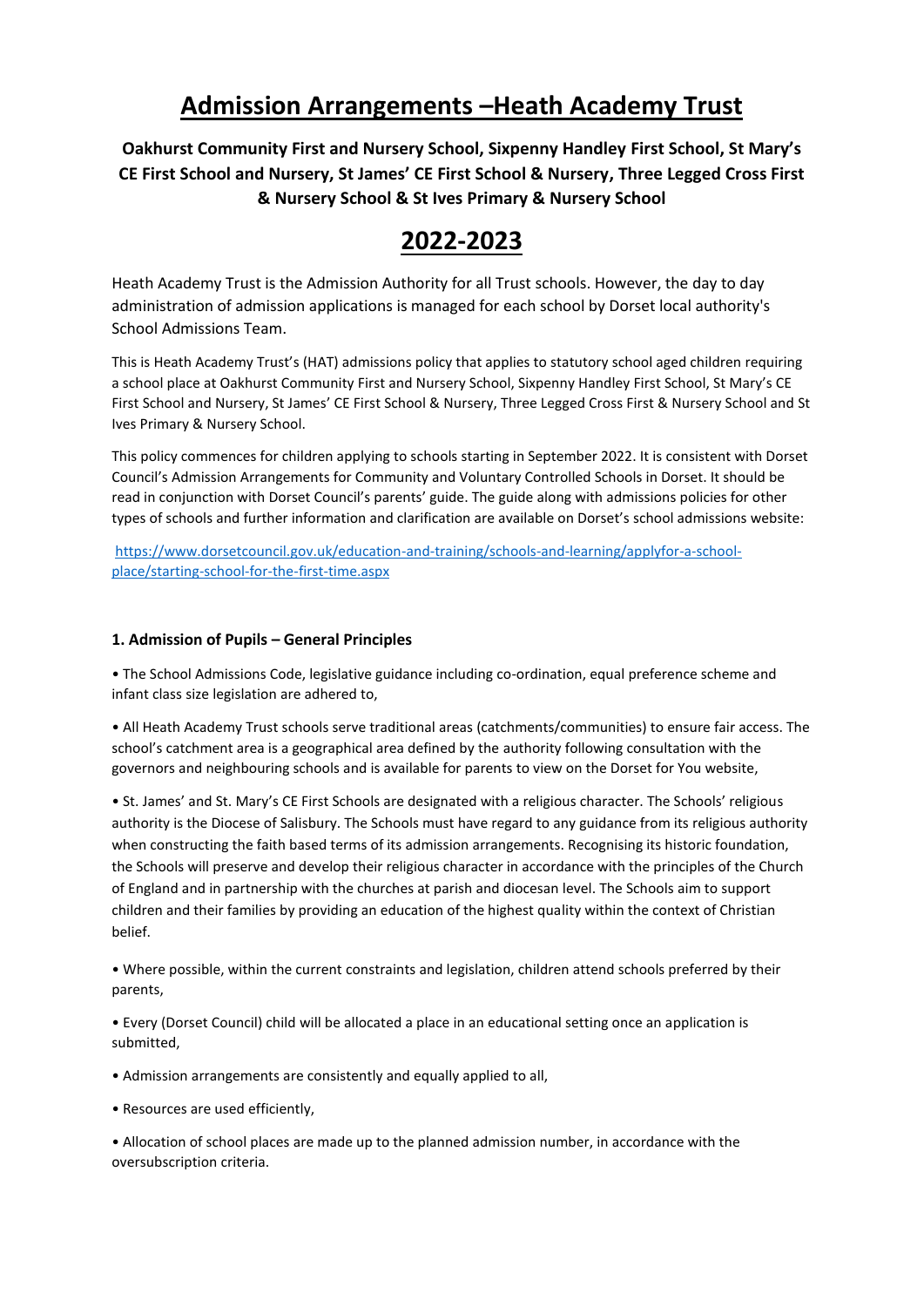# **Admission Arrangements –Heath Academy Trust**

**Oakhurst Community First and Nursery School, Sixpenny Handley First School, St Mary's CE First School and Nursery, St James' CE First School & Nursery, Three Legged Cross First & Nursery School & St Ives Primary & Nursery School**

# **2022-2023**

Heath Academy Trust is the Admission Authority for all Trust schools. However, the day to day administration of admission applications is managed for each school by Dorset local authority's School Admissions Team.

This is Heath Academy Trust's (HAT) admissions policy that applies to statutory school aged children requiring a school place at Oakhurst Community First and Nursery School, Sixpenny Handley First School, St Mary's CE First School and Nursery, St James' CE First School & Nursery, Three Legged Cross First & Nursery School and St Ives Primary & Nursery School.

This policy commences for children applying to schools starting in September 2022. It is consistent with Dorset Council's Admission Arrangements for Community and Voluntary Controlled Schools in Dorset. It should be read in conjunction with Dorset Council's parents' guide. The guide along with admissions policies for other types of schools and further information and clarification are available on Dorset's school admissions website:

[https://www.dorsetcouncil.gov.uk/education-and-training/schools-and-learning/applyfor-a-school](https://www.dorsetcouncil.gov.uk/education-and-training/schools-and-learning/applyfor-a-school-place/starting-school-for-the-first-time.aspx)[place/starting-school-for-the-first-time.aspx](https://www.dorsetcouncil.gov.uk/education-and-training/schools-and-learning/applyfor-a-school-place/starting-school-for-the-first-time.aspx)

## **1. Admission of Pupils – General Principles**

• The School Admissions Code, legislative guidance including co-ordination, equal preference scheme and infant class size legislation are adhered to,

• All Heath Academy Trust schools serve traditional areas (catchments/communities) to ensure fair access. The school's catchment area is a geographical area defined by the authority following consultation with the governors and neighbouring schools and is available for parents to view on the Dorset for You website,

• St. James' and St. Mary's CE First Schools are designated with a religious character. The Schools' religious authority is the Diocese of Salisbury. The Schools must have regard to any guidance from its religious authority when constructing the faith based terms of its admission arrangements. Recognising its historic foundation, the Schools will preserve and develop their religious character in accordance with the principles of the Church of England and in partnership with the churches at parish and diocesan level. The Schools aim to support children and their families by providing an education of the highest quality within the context of Christian belief.

• Where possible, within the current constraints and legislation, children attend schools preferred by their parents,

• Every (Dorset Council) child will be allocated a place in an educational setting once an application is submitted,

- Admission arrangements are consistently and equally applied to all,
- Resources are used efficiently,

• Allocation of school places are made up to the planned admission number, in accordance with the oversubscription criteria.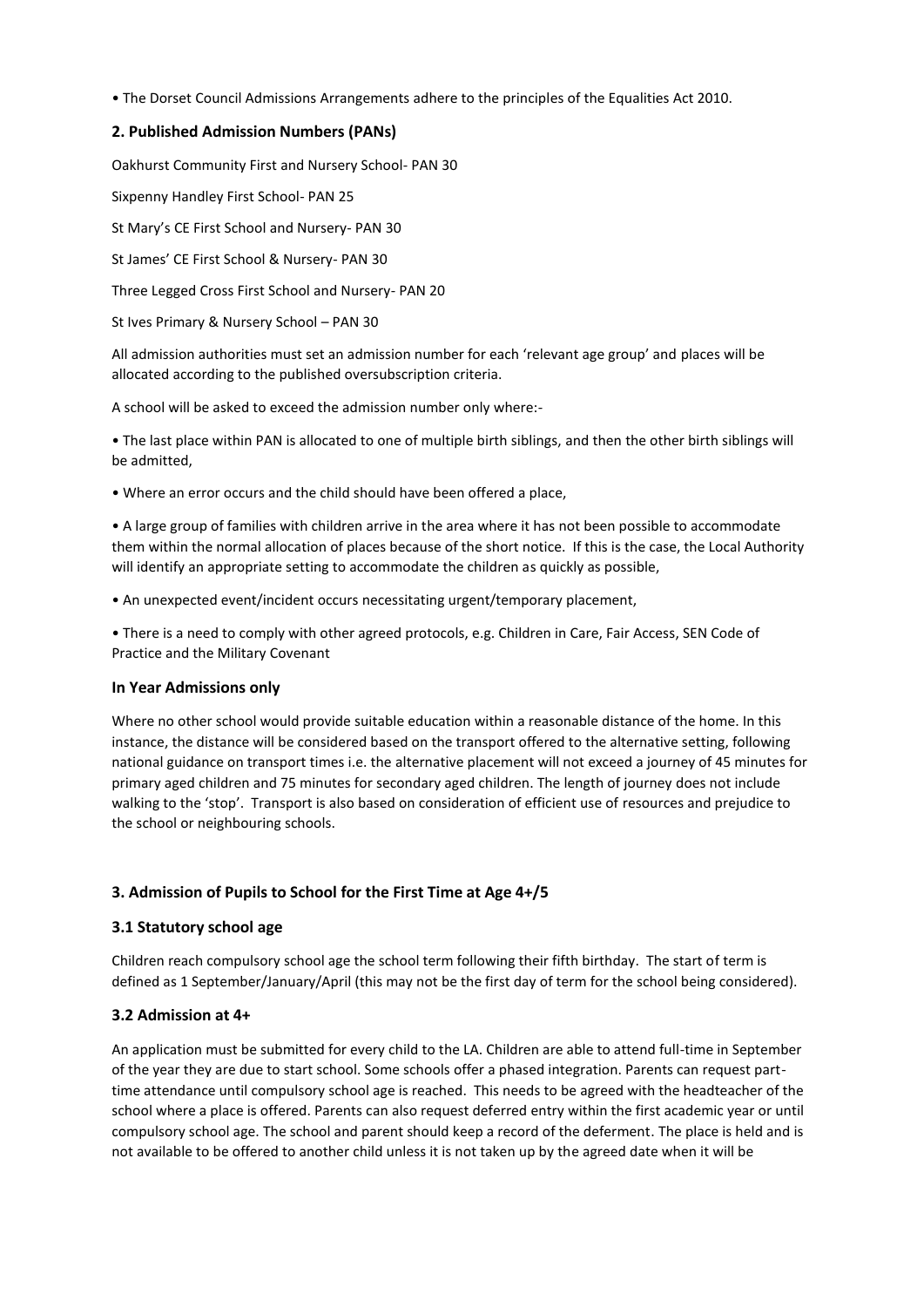• The Dorset Council Admissions Arrangements adhere to the principles of the Equalities Act 2010.

## **2. Published Admission Numbers (PANs)**

Oakhurst Community First and Nursery School- PAN 30

Sixpenny Handley First School- PAN 25

St Mary's CE First School and Nursery- PAN 30

St James' CE First School & Nursery- PAN 30

Three Legged Cross First School and Nursery- PAN 20

St Ives Primary & Nursery School – PAN 30

All admission authorities must set an admission number for each 'relevant age group' and places will be allocated according to the published oversubscription criteria.

A school will be asked to exceed the admission number only where:-

• The last place within PAN is allocated to one of multiple birth siblings, and then the other birth siblings will be admitted,

• Where an error occurs and the child should have been offered a place,

• A large group of families with children arrive in the area where it has not been possible to accommodate them within the normal allocation of places because of the short notice. If this is the case, the Local Authority will identify an appropriate setting to accommodate the children as quickly as possible,

• An unexpected event/incident occurs necessitating urgent/temporary placement,

• There is a need to comply with other agreed protocols, e.g. Children in Care, Fair Access, SEN Code of Practice and the Military Covenant

#### **In Year Admissions only**

Where no other school would provide suitable education within a reasonable distance of the home. In this instance, the distance will be considered based on the transport offered to the alternative setting, following national guidance on transport times i.e. the alternative placement will not exceed a journey of 45 minutes for primary aged children and 75 minutes for secondary aged children. The length of journey does not include walking to the 'stop'. Transport is also based on consideration of efficient use of resources and prejudice to the school or neighbouring schools.

#### **3. Admission of Pupils to School for the First Time at Age 4+/5**

#### **3.1 Statutory school age**

Children reach compulsory school age the school term following their fifth birthday. The start of term is defined as 1 September/January/April (this may not be the first day of term for the school being considered).

#### **3.2 Admission at 4+**

An application must be submitted for every child to the LA. Children are able to attend full-time in September of the year they are due to start school. Some schools offer a phased integration. Parents can request parttime attendance until compulsory school age is reached. This needs to be agreed with the headteacher of the school where a place is offered. Parents can also request deferred entry within the first academic year or until compulsory school age. The school and parent should keep a record of the deferment. The place is held and is not available to be offered to another child unless it is not taken up by the agreed date when it will be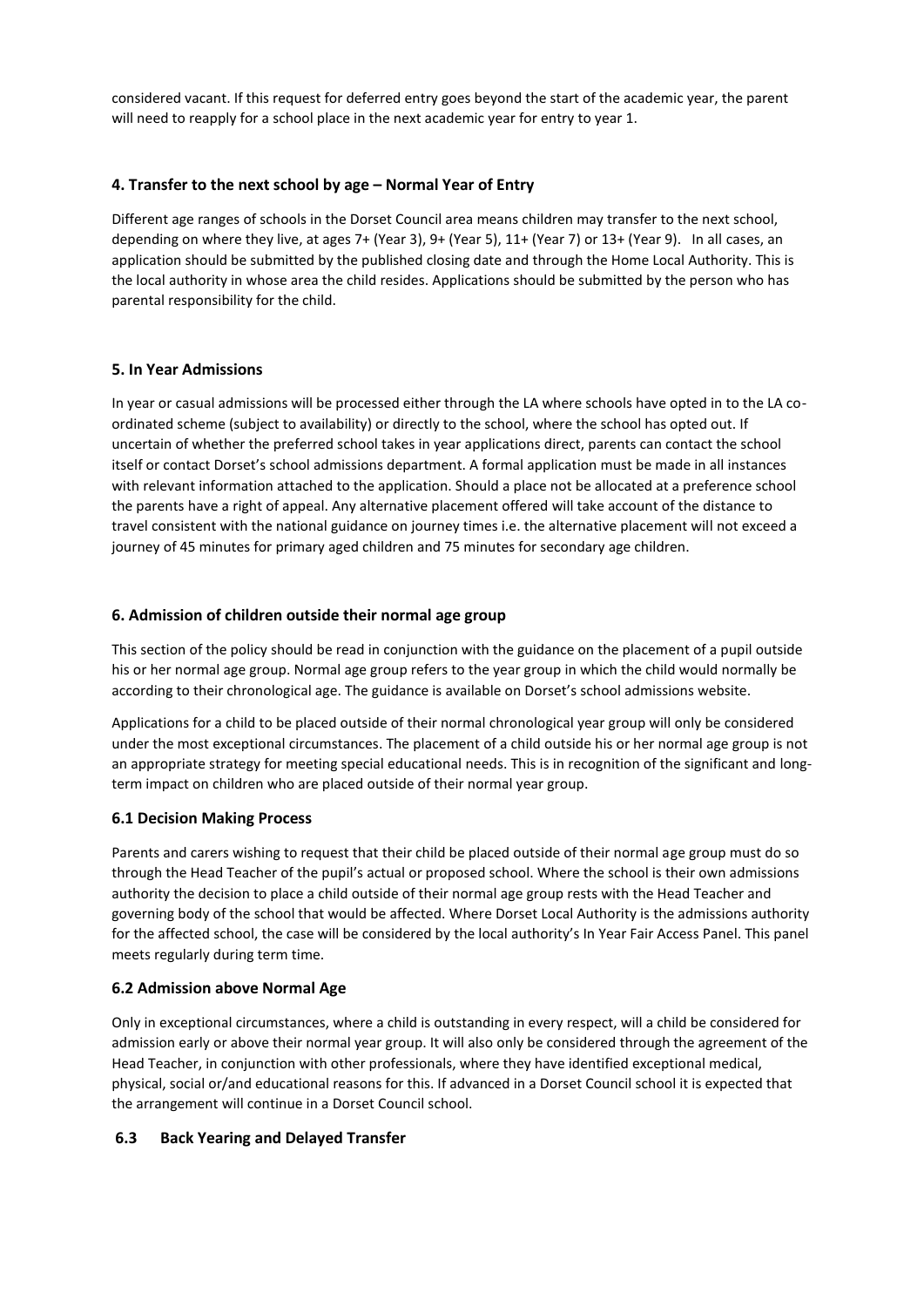considered vacant. If this request for deferred entry goes beyond the start of the academic year, the parent will need to reapply for a school place in the next academic year for entry to year 1.

## **4. Transfer to the next school by age – Normal Year of Entry**

Different age ranges of schools in the Dorset Council area means children may transfer to the next school, depending on where they live, at ages 7+ (Year 3), 9+ (Year 5), 11+ (Year 7) or 13+ (Year 9). In all cases, an application should be submitted by the published closing date and through the Home Local Authority. This is the local authority in whose area the child resides. Applications should be submitted by the person who has parental responsibility for the child.

### **5. In Year Admissions**

In year or casual admissions will be processed either through the LA where schools have opted in to the LA coordinated scheme (subject to availability) or directly to the school, where the school has opted out. If uncertain of whether the preferred school takes in year applications direct, parents can contact the school itself or contact Dorset's school admissions department. A formal application must be made in all instances with relevant information attached to the application. Should a place not be allocated at a preference school the parents have a right of appeal. Any alternative placement offered will take account of the distance to travel consistent with the national guidance on journey times i.e. the alternative placement will not exceed a journey of 45 minutes for primary aged children and 75 minutes for secondary age children.

### **6. Admission of children outside their normal age group**

This section of the policy should be read in conjunction with the guidance on the placement of a pupil outside his or her normal age group. Normal age group refers to the year group in which the child would normally be according to their chronological age. The guidance is available on Dorset's school admissions website.

Applications for a child to be placed outside of their normal chronological year group will only be considered under the most exceptional circumstances. The placement of a child outside his or her normal age group is not an appropriate strategy for meeting special educational needs. This is in recognition of the significant and longterm impact on children who are placed outside of their normal year group.

## **6.1 Decision Making Process**

Parents and carers wishing to request that their child be placed outside of their normal age group must do so through the Head Teacher of the pupil's actual or proposed school. Where the school is their own admissions authority the decision to place a child outside of their normal age group rests with the Head Teacher and governing body of the school that would be affected. Where Dorset Local Authority is the admissions authority for the affected school, the case will be considered by the local authority's In Year Fair Access Panel. This panel meets regularly during term time.

#### **6.2 Admission above Normal Age**

Only in exceptional circumstances, where a child is outstanding in every respect, will a child be considered for admission early or above their normal year group. It will also only be considered through the agreement of the Head Teacher, in conjunction with other professionals, where they have identified exceptional medical, physical, social or/and educational reasons for this. If advanced in a Dorset Council school it is expected that the arrangement will continue in a Dorset Council school.

## **6.3 Back Yearing and Delayed Transfer**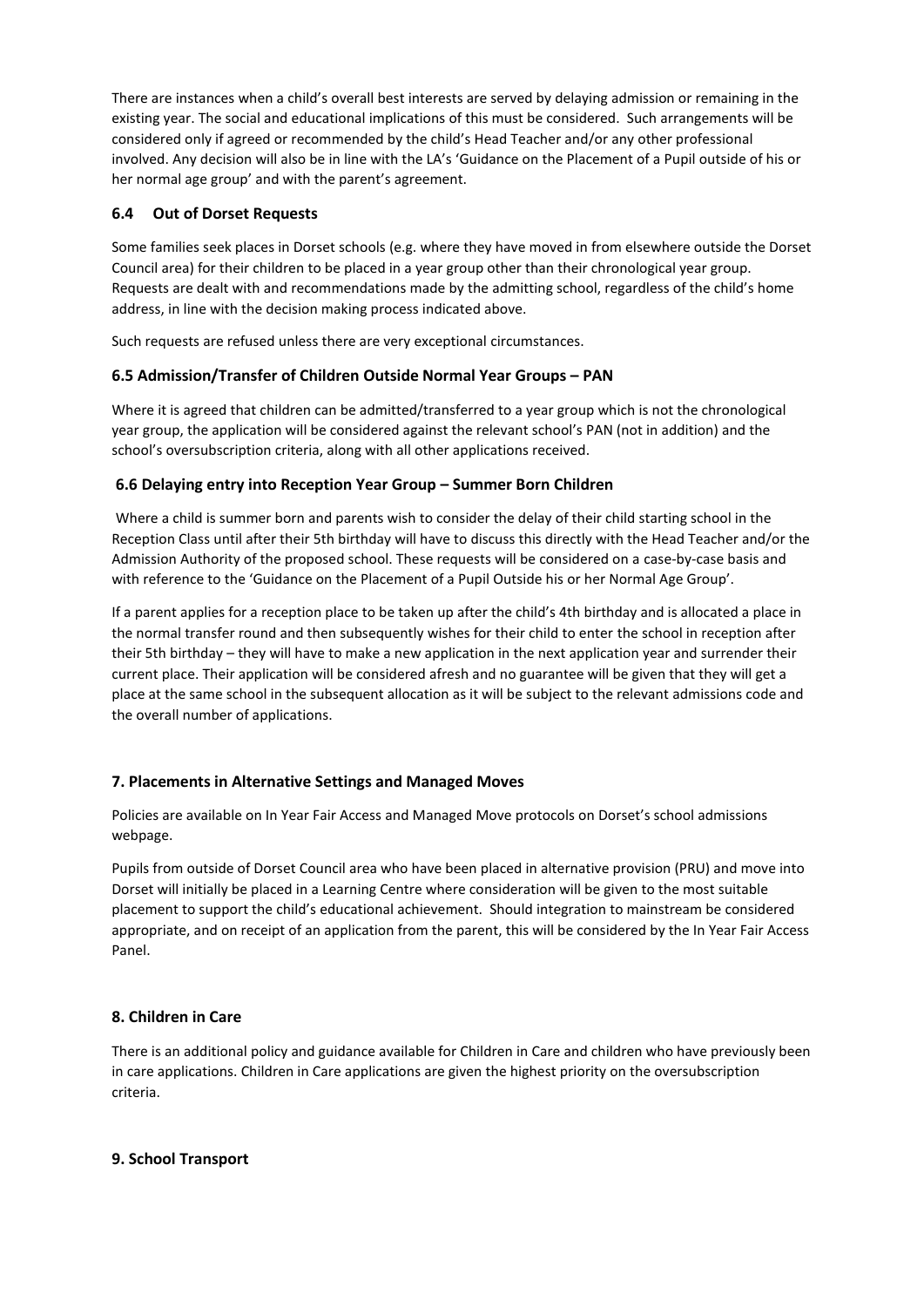There are instances when a child's overall best interests are served by delaying admission or remaining in the existing year. The social and educational implications of this must be considered. Such arrangements will be considered only if agreed or recommended by the child's Head Teacher and/or any other professional involved. Any decision will also be in line with the LA's 'Guidance on the Placement of a Pupil outside of his or her normal age group' and with the parent's agreement.

## **6.4 Out of Dorset Requests**

Some families seek places in Dorset schools (e.g. where they have moved in from elsewhere outside the Dorset Council area) for their children to be placed in a year group other than their chronological year group. Requests are dealt with and recommendations made by the admitting school, regardless of the child's home address, in line with the decision making process indicated above.

Such requests are refused unless there are very exceptional circumstances.

## **6.5 Admission/Transfer of Children Outside Normal Year Groups – PAN**

Where it is agreed that children can be admitted/transferred to a year group which is not the chronological year group, the application will be considered against the relevant school's PAN (not in addition) and the school's oversubscription criteria, along with all other applications received.

## **6.6 Delaying entry into Reception Year Group – Summer Born Children**

Where a child is summer born and parents wish to consider the delay of their child starting school in the Reception Class until after their 5th birthday will have to discuss this directly with the Head Teacher and/or the Admission Authority of the proposed school. These requests will be considered on a case-by-case basis and with reference to the 'Guidance on the Placement of a Pupil Outside his or her Normal Age Group'.

If a parent applies for a reception place to be taken up after the child's 4th birthday and is allocated a place in the normal transfer round and then subsequently wishes for their child to enter the school in reception after their 5th birthday – they will have to make a new application in the next application year and surrender their current place. Their application will be considered afresh and no guarantee will be given that they will get a place at the same school in the subsequent allocation as it will be subject to the relevant admissions code and the overall number of applications.

# **7. Placements in Alternative Settings and Managed Moves**

Policies are available on In Year Fair Access and Managed Move protocols on Dorset's school admissions webpage.

Pupils from outside of Dorset Council area who have been placed in alternative provision (PRU) and move into Dorset will initially be placed in a Learning Centre where consideration will be given to the most suitable placement to support the child's educational achievement. Should integration to mainstream be considered appropriate, and on receipt of an application from the parent, this will be considered by the In Year Fair Access Panel.

## **8. Children in Care**

There is an additional policy and guidance available for Children in Care and children who have previously been in care applications. Children in Care applications are given the highest priority on the oversubscription criteria.

## **9. School Transport**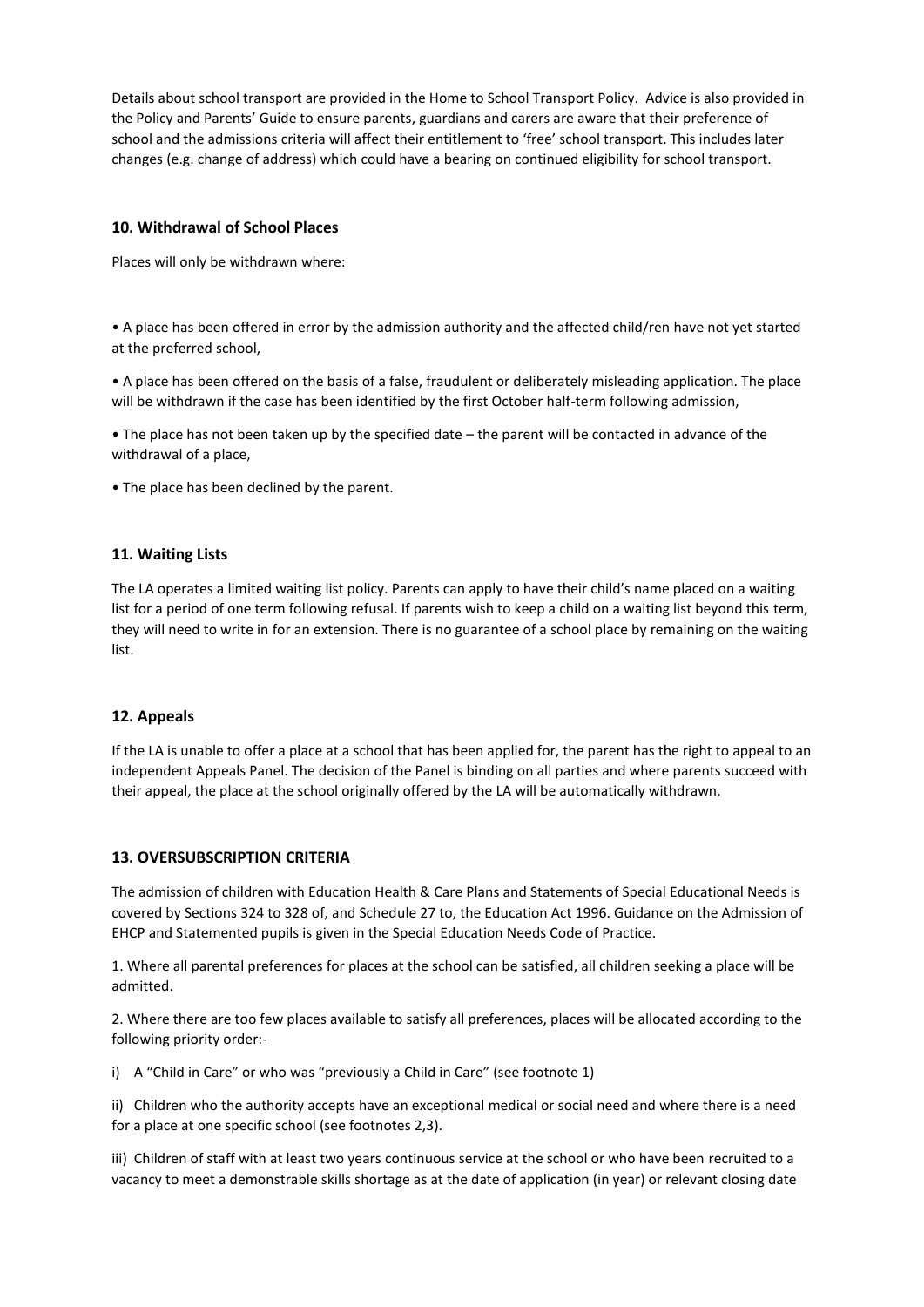Details about school transport are provided in the Home to School Transport Policy. Advice is also provided in the Policy and Parents' Guide to ensure parents, guardians and carers are aware that their preference of school and the admissions criteria will affect their entitlement to 'free' school transport. This includes later changes (e.g. change of address) which could have a bearing on continued eligibility for school transport.

## **10. Withdrawal of School Places**

Places will only be withdrawn where:

• A place has been offered in error by the admission authority and the affected child/ren have not yet started at the preferred school,

• A place has been offered on the basis of a false, fraudulent or deliberately misleading application. The place will be withdrawn if the case has been identified by the first October half-term following admission,

• The place has not been taken up by the specified date – the parent will be contacted in advance of the withdrawal of a place,

• The place has been declined by the parent.

### **11. Waiting Lists**

The LA operates a limited waiting list policy. Parents can apply to have their child's name placed on a waiting list for a period of one term following refusal. If parents wish to keep a child on a waiting list beyond this term, they will need to write in for an extension. There is no guarantee of a school place by remaining on the waiting list.

#### **12. Appeals**

If the LA is unable to offer a place at a school that has been applied for, the parent has the right to appeal to an independent Appeals Panel. The decision of the Panel is binding on all parties and where parents succeed with their appeal, the place at the school originally offered by the LA will be automatically withdrawn.

#### **13. OVERSUBSCRIPTION CRITERIA**

The admission of children with Education Health & Care Plans and Statements of Special Educational Needs is covered by Sections 324 to 328 of, and Schedule 27 to, the Education Act 1996. Guidance on the Admission of EHCP and Statemented pupils is given in the Special Education Needs Code of Practice.

1. Where all parental preferences for places at the school can be satisfied, all children seeking a place will be admitted.

2. Where there are too few places available to satisfy all preferences, places will be allocated according to the following priority order:-

i) A "Child in Care" or who was "previously a Child in Care" (see footnote 1)

ii) Children who the authority accepts have an exceptional medical or social need and where there is a need for a place at one specific school (see footnotes 2,3).

iii) Children of staff with at least two years continuous service at the school or who have been recruited to a vacancy to meet a demonstrable skills shortage as at the date of application (in year) or relevant closing date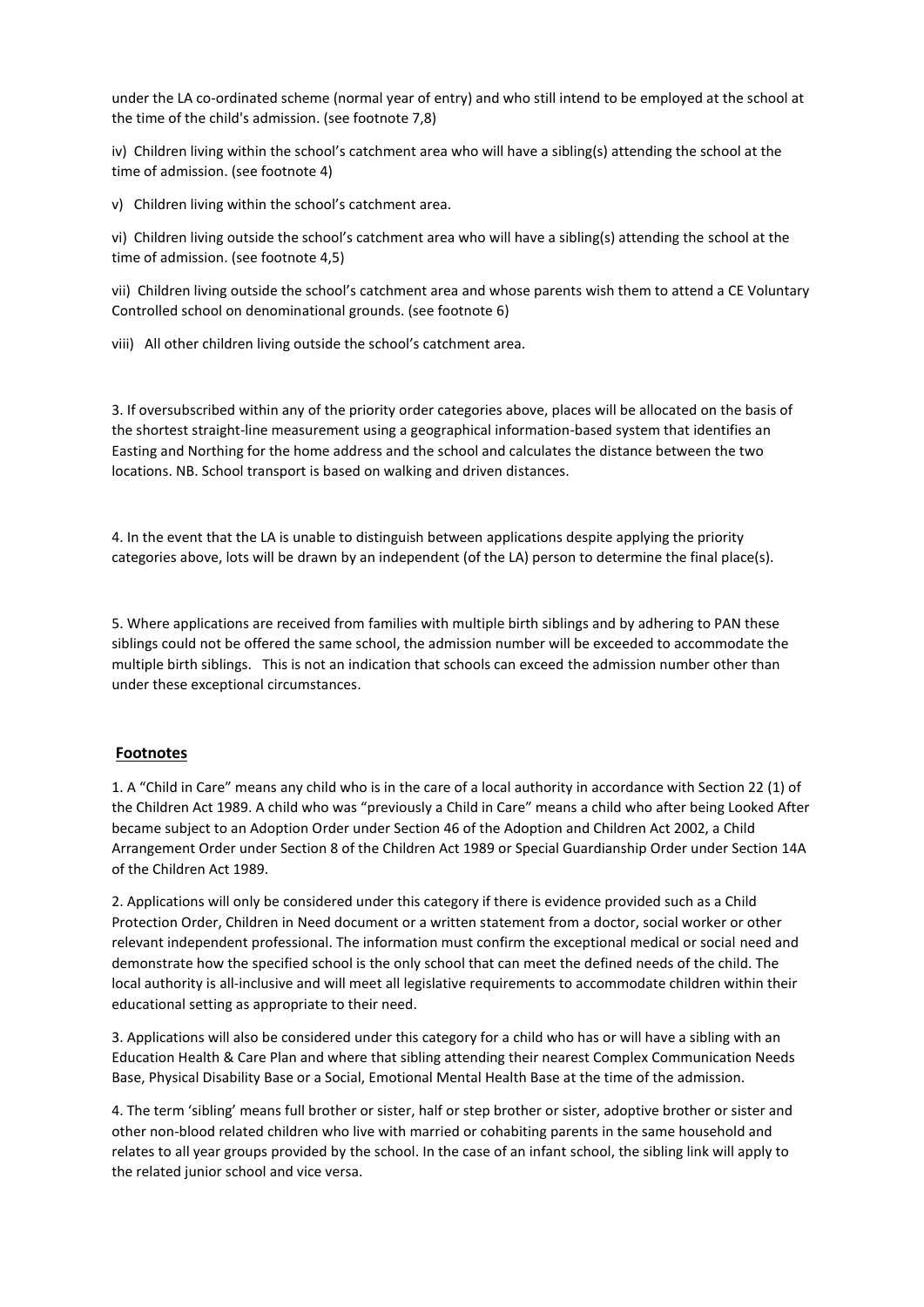under the LA co-ordinated scheme (normal year of entry) and who still intend to be employed at the school at the time of the child's admission. (see footnote 7,8)

iv) Children living within the school's catchment area who will have a sibling(s) attending the school at the time of admission. (see footnote 4)

v) Children living within the school's catchment area.

vi) Children living outside the school's catchment area who will have a sibling(s) attending the school at the time of admission. (see footnote 4,5)

vii) Children living outside the school's catchment area and whose parents wish them to attend a CE Voluntary Controlled school on denominational grounds. (see footnote 6)

viii) All other children living outside the school's catchment area.

3. If oversubscribed within any of the priority order categories above, places will be allocated on the basis of the shortest straight-line measurement using a geographical information-based system that identifies an Easting and Northing for the home address and the school and calculates the distance between the two locations. NB. School transport is based on walking and driven distances.

4. In the event that the LA is unable to distinguish between applications despite applying the priority categories above, lots will be drawn by an independent (of the LA) person to determine the final place(s).

5. Where applications are received from families with multiple birth siblings and by adhering to PAN these siblings could not be offered the same school, the admission number will be exceeded to accommodate the multiple birth siblings. This is not an indication that schools can exceed the admission number other than under these exceptional circumstances.

#### **Footnotes**

1. A "Child in Care" means any child who is in the care of a local authority in accordance with Section 22 (1) of the Children Act 1989. A child who was "previously a Child in Care" means a child who after being Looked After became subject to an Adoption Order under Section 46 of the Adoption and Children Act 2002, a Child Arrangement Order under Section 8 of the Children Act 1989 or Special Guardianship Order under Section 14A of the Children Act 1989.

2. Applications will only be considered under this category if there is evidence provided such as a Child Protection Order, Children in Need document or a written statement from a doctor, social worker or other relevant independent professional. The information must confirm the exceptional medical or social need and demonstrate how the specified school is the only school that can meet the defined needs of the child. The local authority is all-inclusive and will meet all legislative requirements to accommodate children within their educational setting as appropriate to their need.

3. Applications will also be considered under this category for a child who has or will have a sibling with an Education Health & Care Plan and where that sibling attending their nearest Complex Communication Needs Base, Physical Disability Base or a Social, Emotional Mental Health Base at the time of the admission.

4. The term 'sibling' means full brother or sister, half or step brother or sister, adoptive brother or sister and other non-blood related children who live with married or cohabiting parents in the same household and relates to all year groups provided by the school. In the case of an infant school, the sibling link will apply to the related junior school and vice versa.